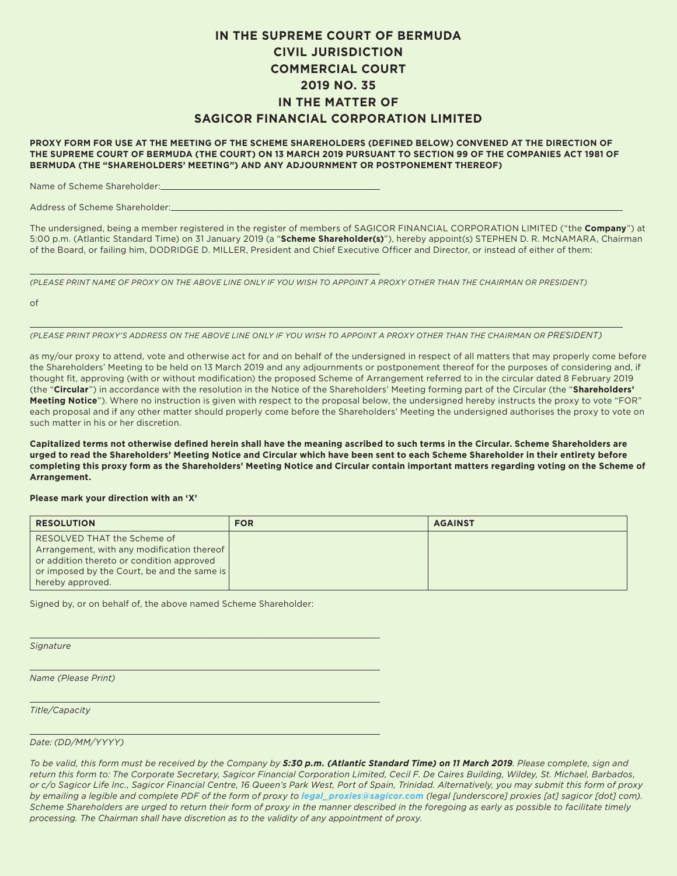## **IN THE SUPREME COURT OF BERMUDA CIVIL JURISDICTION COMMERCIAL COURT 2019 NO. 35 IN THE MATTER OF SAGICOR FINANCIAL CORPORATION LIMITED**

**PROXY FORM FOR USE AT THE MEETING OF THE SCHEME SHAREHOLDERS (DEFINED BELOW) CONVENED AT THE DIRECTION OF THE SUPREME COURT OF BERMUDA (THE COURT) ON 13 MARCH 2019 PURSUANT TO SECTION 99 OF THE COMPANIES ACT 1981 OF BERMUDA (THE "SHAREHOLDERS' MEETING") AND ANY ADJOURNMENT OR POSTPONEMENT THEREOF)**

Name of Scheme Shareholder:

Address of Scheme Shareholder:

The undersigned, being a member registered in the register of members of SAGICOR FINANCIAL CORPORATION LIMITED ("the **Company**") at 5:00 p.m. (Atlantic Standard Time) on 31 January 2019 (a "**Scheme Shareholder(s)**"), hereby appoint(s) STEPHEN D. R. McNAMARA, Chairman of the Board, or failing him, DODRIDGE D. MILLER, President and Chief Executive Officer and Director, or instead of either of them:

*(PLEASE PRINT NAME OF PROXY ON THE ABOVE LINE ONLY IF YOU WISH TO APPOINT A PROXY OTHER THAN THE CHAIRMAN OR PRESIDENT)*

of

*(PLEASE PRINT PROXY'S ADDRESS ON THE ABOVE LINE ONLY IF YOU WISH TO APPOINT A PROXY OTHER THAN THE CHAIRMAN OR PRESIDENT)*

as my/our proxy to attend, vote and otherwise act for and on behalf of the undersigned in respect of all matters that may properly come before the Shareholders' Meeting to be held on 13 March 2019 and any adjournments or postponement thereof for the purposes of considering and, if thought fit, approving (with or without modification) the proposed Scheme of Arrangement referred to in the circular dated 8 February 2019 (the "**Circular**") in accordance with the resolution in the Notice of the Shareholders' Meeting forming part of the Circular (the "**Shareholders' Meeting Notice**"). Where no instruction is given with respect to the proposal below, the undersigned hereby instructs the proxy to vote "FOR" each proposal and if any other matter should properly come before the Shareholders' Meeting the undersigned authorises the proxy to vote on such matter in his or her discretion.

**Capitalized terms not otherwise defined herein shall have the meaning ascribed to such terms in the Circular. Scheme Shareholders are urged to read the Shareholders' Meeting Notice and Circular which have been sent to each Scheme Shareholder in their entirety before completing this proxy form as the Shareholders' Meeting Notice and Circular contain important matters regarding voting on the Scheme of Arrangement.**

## **Please mark your direction with an 'X'**

| <b>RESOLUTION</b>                                                                                                                                                                         | <b>FOR</b> | <b>AGAINST</b> |
|-------------------------------------------------------------------------------------------------------------------------------------------------------------------------------------------|------------|----------------|
| RESOLVED THAT the Scheme of<br>Arrangement, with any modification thereof<br>or addition thereto or condition approved<br>or imposed by the Court, be and the same is<br>hereby approved. |            |                |

Signed by, or on behalf of, the above named Scheme Shareholder:

*Signature*

*Name (Please Print)*

*Title/Capacity*

*Date: (DD/MM/YYYY)*

*To be valid, this form must be received by the Company by 5:30 p.m. (Atlantic Standard Time) on 11 March 2019. Please complete, sign and return this form to: The Corporate Secretary, Sagicor Financial Corporation Limited, Cecil F. De Caires Building, Wildey, St. Michael, Barbados, or c/o Sagicor Life Inc., Sagicor Financial Centre, 16 Queen's Park West, Port of Spain, Trinidad. Alternatively, you may submit this form of proxy by emailing a legible and complete PDF of the form of proxy to legal\_proxies@sagicor.com (legal [underscore] proxies [at] sagicor [dot] com). Scheme Shareholders are urged to return their form of proxy in the manner described in the foregoing as early as possible to facilitate timely processing. The Chairman shall have discretion as to the validity of any appointment of proxy.*